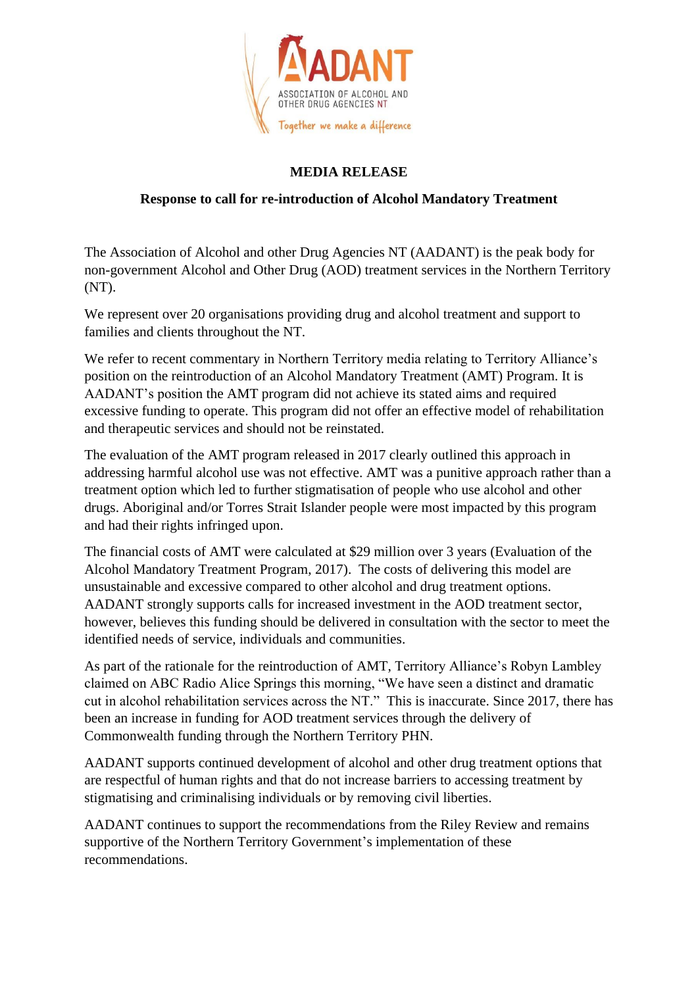

## **MEDIA RELEASE**

## **Response to call for re-introduction of Alcohol Mandatory Treatment**

The Association of Alcohol and other Drug Agencies NT (AADANT) is the peak body for non-government Alcohol and Other Drug (AOD) treatment services in the Northern Territory (NT).

We represent over 20 organisations providing drug and alcohol treatment and support to families and clients throughout the NT.

We refer to recent commentary in Northern Territory media relating to Territory Alliance's position on the reintroduction of an Alcohol Mandatory Treatment (AMT) Program. It is AADANT's position the AMT program did not achieve its stated aims and required excessive funding to operate. This program did not offer an effective model of rehabilitation and therapeutic services and should not be reinstated.

The evaluation of the AMT program released in 2017 clearly outlined this approach in addressing harmful alcohol use was not effective. AMT was a punitive approach rather than a treatment option which led to further stigmatisation of people who use alcohol and other drugs. Aboriginal and/or Torres Strait Islander people were most impacted by this program and had their rights infringed upon.

The financial costs of AMT were calculated at \$29 million over 3 years (Evaluation of the Alcohol Mandatory Treatment Program, 2017). The costs of delivering this model are unsustainable and excessive compared to other alcohol and drug treatment options. AADANT strongly supports calls for increased investment in the AOD treatment sector, however, believes this funding should be delivered in consultation with the sector to meet the identified needs of service, individuals and communities.

As part of the rationale for the reintroduction of AMT, Territory Alliance's Robyn Lambley claimed on ABC Radio Alice Springs this morning, "We have seen a distinct and dramatic cut in alcohol rehabilitation services across the NT." This is inaccurate. Since 2017, there has been an increase in funding for AOD treatment services through the delivery of Commonwealth funding through the Northern Territory PHN.

AADANT supports continued development of alcohol and other drug treatment options that are respectful of human rights and that do not increase barriers to accessing treatment by stigmatising and criminalising individuals or by removing civil liberties.

AADANT continues to support the recommendations from the Riley Review and remains supportive of the Northern Territory Government's implementation of these recommendations.